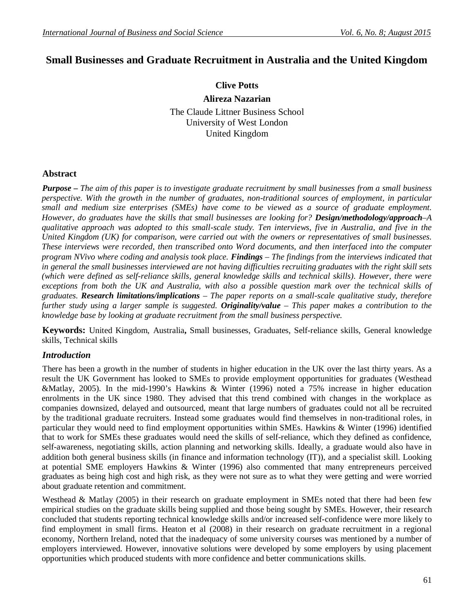# **Small Businesses and Graduate Recruitment in Australia and the United Kingdom**

**Clive Potts**

**Alireza Nazarian**

The Claude Littner Business School University of West London United Kingdom

## **Abstract**

*Purpose – The aim of this paper is to investigate graduate recruitment by small businesses from a small business perspective. With the growth in the number of graduates, non-traditional sources of employment, in particular small and medium size enterprises (SMEs) have come to be viewed as a source of graduate employment. However, do graduates have the skills that small businesses are looking for? Design/methodology/approach–A qualitative approach was adopted to this small-scale study. Ten interviews, five in Australia, and five in the United Kingdom (UK) for comparison, were carried out with the owners or representatives of small businesses. These interviews were recorded, then transcribed onto Word documents, and then interfaced into the computer program NVivo where coding and analysis took place. Findings – The findings from the interviews indicated that in general the small businesses interviewed are not having difficulties recruiting graduates with the right skill sets (which were defined as self-reliance skills, general knowledge skills and technical skills). However, there were exceptions from both the UK and Australia, with also a possible question mark over the technical skills of graduates. Research limitations/implications – The paper reports on a small-scale qualitative study, therefore further study using a larger sample is suggested. Originality/value – This paper makes a contribution to the knowledge base by looking at graduate recruitment from the small business perspective.*

**Keywords:** United Kingdom, Australia**,** Small businesses, Graduates, Self-reliance skills, General knowledge skills, Technical skills

### *Introduction*

There has been a growth in the number of students in higher education in the UK over the last thirty years. As a result the UK Government has looked to SMEs to provide employment opportunities for graduates (Westhead &Matlay, 2005). In the mid-1990's Hawkins & Winter (1996) noted a 75% increase in higher education enrolments in the UK since 1980. They advised that this trend combined with changes in the workplace as companies downsized, delayed and outsourced, meant that large numbers of graduates could not all be recruited by the traditional graduate recruiters. Instead some graduates would find themselves in non-traditional roles, in particular they would need to find employment opportunities within SMEs. Hawkins & Winter (1996) identified that to work for SMEs these graduates would need the skills of self-reliance, which they defined as confidence, self-awareness, negotiating skills, action planning and networking skills. Ideally, a graduate would also have in addition both general business skills (in finance and information technology (IT)), and a specialist skill. Looking at potential SME employers Hawkins & Winter (1996) also commented that many entrepreneurs perceived graduates as being high cost and high risk, as they were not sure as to what they were getting and were worried about graduate retention and commitment.

Westhead & Matlay (2005) in their research on graduate employment in SMEs noted that there had been few empirical studies on the graduate skills being supplied and those being sought by SMEs. However, their research concluded that students reporting technical knowledge skills and/or increased self-confidence were more likely to find employment in small firms. Heaton et al (2008) in their research on graduate recruitment in a regional economy, Northern Ireland, noted that the inadequacy of some university courses was mentioned by a number of employers interviewed. However, innovative solutions were developed by some employers by using placement opportunities which produced students with more confidence and better communications skills.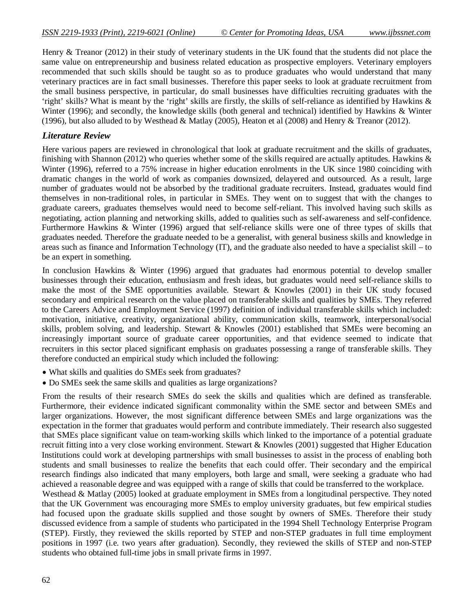Henry & Treanor (2012) in their study of veterinary students in the UK found that the students did not place the same value on entrepreneurship and business related education as prospective employers. Veterinary employers recommended that such skills should be taught so as to produce graduates who would understand that many veterinary practices are in fact small businesses. Therefore this paper seeks to look at graduate recruitment from the small business perspective, in particular, do small businesses have difficulties recruiting graduates with the 'right' skills? What is meant by the 'right' skills are firstly, the skills of self-reliance as identified by Hawkins & Winter (1996); and secondly, the knowledge skills (both general and technical) identified by Hawkins & Winter (1996), but also alluded to by Westhead & Matlay (2005), Heaton et al (2008) and Henry & Treanor (2012).

#### *Literature Review*

Here various papers are reviewed in chronological that look at graduate recruitment and the skills of graduates, finishing with Shannon (2012) who queries whether some of the skills required are actually aptitudes. Hawkins  $\&$ Winter (1996), referred to a 75% increase in higher education enrolments in the UK since 1980 coinciding with dramatic changes in the world of work as companies downsized, delayered and outsourced. As a result, large number of graduates would not be absorbed by the traditional graduate recruiters. Instead, graduates would find themselves in non-traditional roles, in particular in SMEs. They went on to suggest that with the changes to graduate careers, graduates themselves would need to become self-reliant. This involved having such skills as negotiating, action planning and networking skills, added to qualities such as self-awareness and self-confidence. Furthermore Hawkins & Winter (1996) argued that self-reliance skills were one of three types of skills that graduates needed. Therefore the graduate needed to be a generalist, with general business skills and knowledge in areas such as finance and Information Technology (IT), and the graduate also needed to have a specialist skill – to be an expert in something.

In conclusion Hawkins & Winter (1996) argued that graduates had enormous potential to develop smaller businesses through their education, enthusiasm and fresh ideas, but graduates would need self-reliance skills to make the most of the SME opportunities available. Stewart  $\&$  Knowles (2001) in their UK study focused secondary and empirical research on the value placed on transferable skills and qualities by SMEs. They referred to the Careers Advice and Employment Service (1997) definition of individual transferable skills which included: motivation, initiative, creativity, organizational ability, communication skills, teamwork, interpersonal/social skills, problem solving, and leadership. Stewart & Knowles (2001) established that SMEs were becoming an increasingly important source of graduate career opportunities, and that evidence seemed to indicate that recruiters in this sector placed significant emphasis on graduates possessing a range of transferable skills. They therefore conducted an empirical study which included the following:

- What skills and qualities do SMEs seek from graduates?
- Do SMEs seek the same skills and qualities as large organizations?

From the results of their research SMEs do seek the skills and qualities which are defined as transferable. Furthermore, their evidence indicated significant commonality within the SME sector and between SMEs and larger organizations. However, the most significant difference between SMEs and large organizations was the expectation in the former that graduates would perform and contribute immediately. Their research also suggested that SMEs place significant value on team-working skills which linked to the importance of a potential graduate recruit fitting into a very close working environment. Stewart & Knowles (2001) suggested that Higher Education Institutions could work at developing partnerships with small businesses to assist in the process of enabling both students and small businesses to realize the benefits that each could offer. Their secondary and the empirical research findings also indicated that many employers, both large and small, were seeking a graduate who had achieved a reasonable degree and was equipped with a range of skills that could be transferred to the workplace.

Westhead & Matlay (2005) looked at graduate employment in SMEs from a longitudinal perspective. They noted that the UK Government was encouraging more SMEs to employ university graduates, but few empirical studies had focused upon the graduate skills supplied and those sought by owners of SMEs. Therefore their study discussed evidence from a sample of students who participated in the 1994 Shell Technology Enterprise Program (STEP). Firstly, they reviewed the skills reported by STEP and non-STEP graduates in full time employment positions in 1997 (i.e. two years after graduation). Secondly, they reviewed the skills of STEP and non-STEP students who obtained full-time jobs in small private firms in 1997.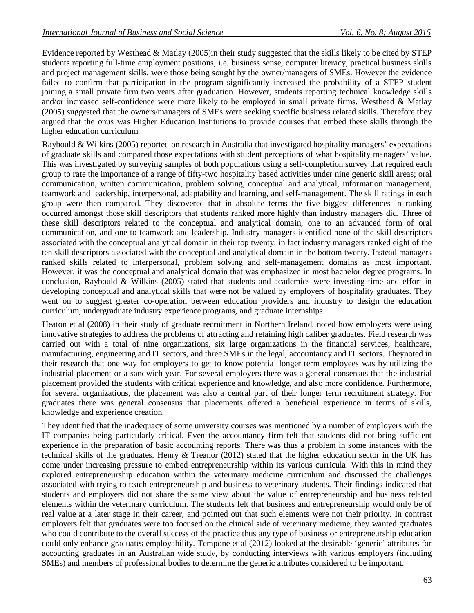Evidence reported by Westhead & Matlay (2005)in their study suggested that the skills likely to be cited by STEP students reporting full-time employment positions, i.e. business sense, computer literacy, practical business skills and project management skills, were those being sought by the owner/managers of SMEs. However the evidence failed to confirm that participation in the program significantly increased the probability of a STEP student joining a small private firm two years after graduation. However, students reporting technical knowledge skills and/or increased self-confidence were more likely to be employed in small private firms. Westhead & Matlay (2005) suggested that the owners/managers of SMEs were seeking specific business related skills. Therefore they argued that the onus was Higher Education Institutions to provide courses that embed these skills through the higher education curriculum.

Raybould & Wilkins (2005) reported on research in Australia that investigated hospitality managers' expectations of graduate skills and compared those expectations with student perceptions of what hospitality managers' value. This was investigated by surveying samples of both populations using a self-completion survey that required each group to rate the importance of a range of fifty-two hospitality based activities under nine generic skill areas; oral communication, written communication, problem solving, conceptual and analytical, information management, teamwork and leadership, interpersonal, adaptability and learning, and self-management. The skill ratings in each group were then compared. They discovered that in absolute terms the five biggest differences in ranking occurred amongst those skill descriptors that students ranked more highly than industry managers did. Three of these skill descriptors related to the conceptual and analytical domain, one to an advanced form of oral communication, and one to teamwork and leadership. Industry managers identified none of the skill descriptors associated with the conceptual analytical domain in their top twenty, in fact industry managers ranked eight of the ten skill descriptors associated with the conceptual and analytical domain in the bottom twenty. Instead managers ranked skills related to interpersonal, problem solving and self-management domains as most important. However, it was the conceptual and analytical domain that was emphasized in most bachelor degree programs. In conclusion, Raybould & Wilkins (2005) stated that students and academics were investing time and effort in developing conceptual and analytical skills that were not be valued by employers of hospitality graduates. They went on to suggest greater co-operation between education providers and industry to design the education curriculum, undergraduate industry experience programs, and graduate internships.

Heaton et al (2008) in their study of graduate recruitment in Northern Ireland, noted how employers were using innovative strategies to address the problems of attracting and retaining high caliber graduates. Field research was carried out with a total of nine organizations, six large organizations in the financial services, healthcare, manufacturing, engineering and IT sectors, and three SMEs in the legal, accountancy and IT sectors. Theynoted in their research that one way for employers to get to know potential longer term employees was by utilizing the industrial placement or a sandwich year. For several employers there was a general consensus that the industrial placement provided the students with critical experience and knowledge, and also more confidence. Furthermore, for several organizations, the placement was also a central part of their longer term recruitment strategy. For graduates there was general consensus that placements offered a beneficial experience in terms of skills, knowledge and experience creation.

They identified that the inadequacy of some university courses was mentioned by a number of employers with the IT companies being particularly critical. Even the accountancy firm felt that students did not bring sufficient experience in the preparation of basic accounting reports. There was thus a problem in some instances with the technical skills of the graduates. Henry & Treanor (2012) stated that the higher education sector in the UK has come under increasing pressure to embed entrepreneurship within its various curricula. With this in mind they explored entrepreneurship education within the veterinary medicine curriculum and discussed the challenges associated with trying to teach entrepreneurship and business to veterinary students. Their findings indicated that students and employers did not share the same view about the value of entrepreneurship and business related elements within the veterinary curriculum. The students felt that business and entrepreneurship would only be of real value at a later stage in their career, and pointed out that such elements were not their priority. In contrast employers felt that graduates were too focused on the clinical side of veterinary medicine, they wanted graduates who could contribute to the overall success of the practice thus any type of business or entrepreneurship education could only enhance graduates employability. Tempone et al (2012) looked at the desirable 'generic' attributes for accounting graduates in an Australian wide study, by conducting interviews with various employers (including SMEs) and members of professional bodies to determine the generic attributes considered to be important.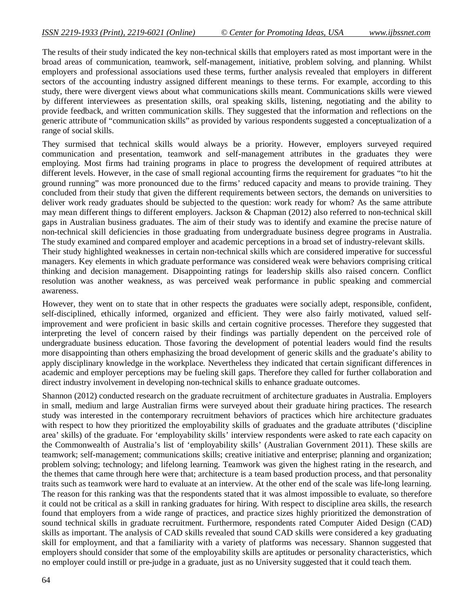The results of their study indicated the key non-technical skills that employers rated as most important were in the broad areas of communication, teamwork, self-management, initiative, problem solving, and planning. Whilst employers and professional associations used these terms, further analysis revealed that employers in different sectors of the accounting industry assigned different meanings to these terms. For example, according to this study, there were divergent views about what communications skills meant. Communications skills were viewed by different interviewees as presentation skills, oral speaking skills, listening, negotiating and the ability to provide feedback, and written communication skills. They suggested that the information and reflections on the generic attribute of "communication skills" as provided by various respondents suggested a conceptualization of a range of social skills.

They surmised that technical skills would always be a priority. However, employers surveyed required communication and presentation, teamwork and self-management attributes in the graduates they were employing. Most firms had training programs in place to progress the development of required attributes at different levels. However, in the case of small regional accounting firms the requirement for graduates "to hit the ground running" was more pronounced due to the firms' reduced capacity and means to provide training. They concluded from their study that given the different requirements between sectors, the demands on universities to deliver work ready graduates should be subjected to the question: work ready for whom? As the same attribute may mean different things to different employers. Jackson & Chapman (2012) also referred to non-technical skill gaps in Australian business graduates. The aim of their study was to identify and examine the precise nature of non-technical skill deficiencies in those graduating from undergraduate business degree programs in Australia. The study examined and compared employer and academic perceptions in a broad set of industry-relevant skills.

Their study highlighted weaknesses in certain non-technical skills which are considered imperative for successful managers. Key elements in which graduate performance was considered weak were behaviors comprising critical thinking and decision management. Disappointing ratings for leadership skills also raised concern. Conflict resolution was another weakness, as was perceived weak performance in public speaking and commercial awareness.

However, they went on to state that in other respects the graduates were socially adept, responsible, confident, self-disciplined, ethically informed, organized and efficient. They were also fairly motivated, valued selfimprovement and were proficient in basic skills and certain cognitive processes. Therefore they suggested that interpreting the level of concern raised by their findings was partially dependent on the perceived role of undergraduate business education. Those favoring the development of potential leaders would find the results more disappointing than others emphasizing the broad development of generic skills and the graduate's ability to apply disciplinary knowledge in the workplace. Nevertheless they indicated that certain significant differences in academic and employer perceptions may be fueling skill gaps. Therefore they called for further collaboration and direct industry involvement in developing non-technical skills to enhance graduate outcomes.

Shannon (2012) conducted research on the graduate recruitment of architecture graduates in Australia. Employers in small, medium and large Australian firms were surveyed about their graduate hiring practices. The research study was interested in the contemporary recruitment behaviors of practices which hire architecture graduates with respect to how they prioritized the employability skills of graduates and the graduate attributes ('discipline area' skills) of the graduate. For 'employability skills' interview respondents were asked to rate each capacity on the Commonwealth of Australia's list of 'employability skills' (Australian Government 2011). These skills are teamwork; self-management; communications skills; creative initiative and enterprise; planning and organization; problem solving; technology; and lifelong learning. Teamwork was given the highest rating in the research, and the themes that came through here were that; architecture is a team based production process, and that personality traits such as teamwork were hard to evaluate at an interview. At the other end of the scale was life-long learning. The reason for this ranking was that the respondents stated that it was almost impossible to evaluate, so therefore it could not be critical as a skill in ranking graduates for hiring. With respect to discipline area skills, the research found that employers from a wide range of practices, and practice sizes highly prioritized the demonstration of sound technical skills in graduate recruitment. Furthermore, respondents rated Computer Aided Design (CAD) skills as important. The analysis of CAD skills revealed that sound CAD skills were considered a key graduating skill for employment, and that a familiarity with a variety of platforms was necessary. Shannon suggested that employers should consider that some of the employability skills are aptitudes or personality characteristics, which no employer could instill or pre-judge in a graduate, just as no University suggested that it could teach them.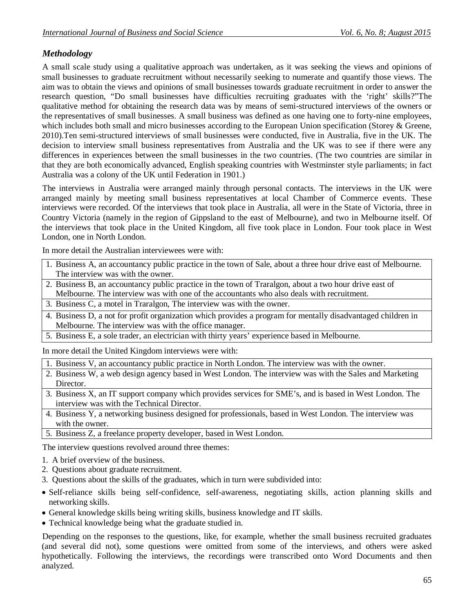## *Methodology*

A small scale study using a qualitative approach was undertaken, as it was seeking the views and opinions of small businesses to graduate recruitment without necessarily seeking to numerate and quantify those views. The aim was to obtain the views and opinions of small businesses towards graduate recruitment in order to answer the research question, "Do small businesses have difficulties recruiting graduates with the 'right' skills?"The qualitative method for obtaining the research data was by means of semi-structured interviews of the owners or the representatives of small businesses. A small business was defined as one having one to forty-nine employees, which includes both small and micro businesses according to the European Union specification (Storey & Greene, 2010).Ten semi-structured interviews of small businesses were conducted, five in Australia, five in the UK. The decision to interview small business representatives from Australia and the UK was to see if there were any differences in experiences between the small businesses in the two countries. (The two countries are similar in that they are both economically advanced, English speaking countries with Westminster style parliaments; in fact Australia was a colony of the UK until Federation in 1901.)

The interviews in Australia were arranged mainly through personal contacts. The interviews in the UK were arranged mainly by meeting small business representatives at local Chamber of Commerce events. These interviews were recorded. Of the interviews that took place in Australia, all were in the State of Victoria, three in Country Victoria (namely in the region of Gippsland to the east of Melbourne), and two in Melbourne itself. Of the interviews that took place in the United Kingdom, all five took place in London. Four took place in West London, one in North London.

In more detail the Australian interviewees were with:

- 1. Business A, an accountancy public practice in the town of Sale, about a three hour drive east of Melbourne. The interview was with the owner.
- 2. Business B, an accountancy public practice in the town of Traralgon, about a two hour drive east of Melbourne. The interview was with one of the accountants who also deals with recruitment.
- 3. Business C, a motel in Traralgon, The interview was with the owner.
- 4. Business D, a not for profit organization which provides a program for mentally disadvantaged children in Melbourne. The interview was with the office manager.
- 5. Business E, a sole trader, an electrician with thirty years' experience based in Melbourne.

In more detail the United Kingdom interviews were with:

1. Business V, an accountancy public practice in North London. The interview was with the owner.

- 2. Business W, a web design agency based in West London. The interview was with the Sales and Marketing Director.
- 3. Business X, an IT support company which provides services for SME's, and is based in West London. The interview was with the Technical Director.
- 4. Business Y, a networking business designed for professionals, based in West London. The interview was with the owner
- 5. Business Z, a freelance property developer, based in West London.

The interview questions revolved around three themes:

- 1. A brief overview of the business.
- 2. Questions about graduate recruitment.
- 3. Questions about the skills of the graduates, which in turn were subdivided into:
- Self-reliance skills being self-confidence, self-awareness, negotiating skills, action planning skills and networking skills.
- General knowledge skills being writing skills, business knowledge and IT skills.
- Technical knowledge being what the graduate studied in.

Depending on the responses to the questions, like, for example, whether the small business recruited graduates (and several did not), some questions were omitted from some of the interviews, and others were asked hypothetically. Following the interviews, the recordings were transcribed onto Word Documents and then analyzed.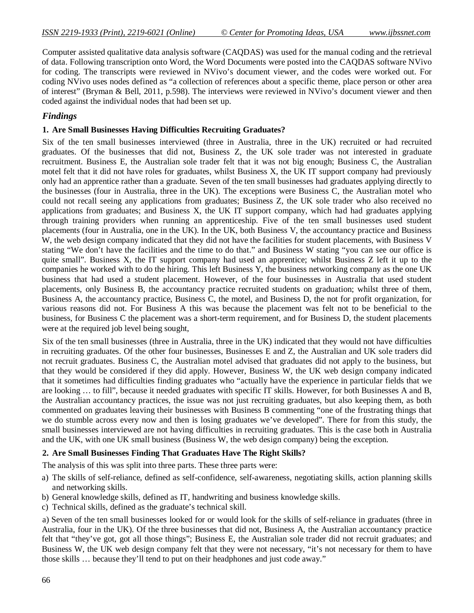Computer assisted qualitative data analysis software (CAQDAS) was used for the manual coding and the retrieval of data. Following transcription onto Word, the Word Documents were posted into the CAQDAS software NVivo for coding. The transcripts were reviewed in NVivo's document viewer, and the codes were worked out. For coding NVivo uses nodes defined as "a collection of references about a specific theme, place person or other area of interest" (Bryman & Bell, 2011, p.598). The interviews were reviewed in NVivo's document viewer and then coded against the individual nodes that had been set up.

#### *Findings*

#### **1. Are Small Businesses Having Difficulties Recruiting Graduates?**

Six of the ten small businesses interviewed (three in Australia, three in the UK) recruited or had recruited graduates. Of the businesses that did not, Business Z, the UK sole trader was not interested in graduate recruitment. Business E, the Australian sole trader felt that it was not big enough; Business C, the Australian motel felt that it did not have roles for graduates, whilst Business X, the UK IT support company had previously only had an apprentice rather than a graduate. Seven of the ten small businesses had graduates applying directly to the businesses (four in Australia, three in the UK). The exceptions were Business C, the Australian motel who could not recall seeing any applications from graduates; Business Z, the UK sole trader who also received no applications from graduates; and Business X, the UK IT support company, which had had graduates applying through training providers when running an apprenticeship. Five of the ten small businesses used student placements (four in Australia, one in the UK). In the UK, both Business V, the accountancy practice and Business W, the web design company indicated that they did not have the facilities for student placements, with Business V stating "We don't have the facilities and the time to do that." and Business W stating "you can see our office is quite small". Business X, the IT support company had used an apprentice; whilst Business Z left it up to the companies he worked with to do the hiring. This left Business Y, the business networking company as the one UK business that had used a student placement. However, of the four businesses in Australia that used student placements, only Business B, the accountancy practice recruited students on graduation; whilst three of them, Business A, the accountancy practice, Business C, the motel, and Business D, the not for profit organization, for various reasons did not. For Business A this was because the placement was felt not to be beneficial to the business, for Business C the placement was a short-term requirement, and for Business D, the student placements were at the required job level being sought,

Six of the ten small businesses (three in Australia, three in the UK) indicated that they would not have difficulties in recruiting graduates. Of the other four businesses, Businesses E and Z, the Australian and UK sole traders did not recruit graduates. Business C, the Australian motel advised that graduates did not apply to the business, but that they would be considered if they did apply. However, Business W, the UK web design company indicated that it sometimes had difficulties finding graduates who "actually have the experience in particular fields that we are looking … to fill", because it needed graduates with specific IT skills. However, for both Businesses A and B, the Australian accountancy practices, the issue was not just recruiting graduates, but also keeping them, as both commented on graduates leaving their businesses with Business B commenting "one of the frustrating things that we do stumble across every now and then is losing graduates we've developed". There for from this study, the small businesses interviewed are not having difficulties in recruiting graduates. This is the case both in Australia and the UK, with one UK small business (Business W, the web design company) being the exception.

#### **2. Are Small Businesses Finding That Graduates Have The Right Skills?**

The analysis of this was split into three parts. These three parts were:

- a) The skills of self-reliance, defined as self-confidence, self-awareness, negotiating skills, action planning skills and networking skills.
- b) General knowledge skills, defined as IT, handwriting and business knowledge skills.
- c) Technical skills, defined as the graduate's technical skill.

a) Seven of the ten small businesses looked for or would look for the skills of self-reliance in graduates (three in Australia, four in the UK). Of the three businesses that did not, Business A, the Australian accountancy practice felt that "they've got, got all those things"; Business E, the Australian sole trader did not recruit graduates; and Business W, the UK web design company felt that they were not necessary, "it's not necessary for them to have those skills … because they'll tend to put on their headphones and just code away."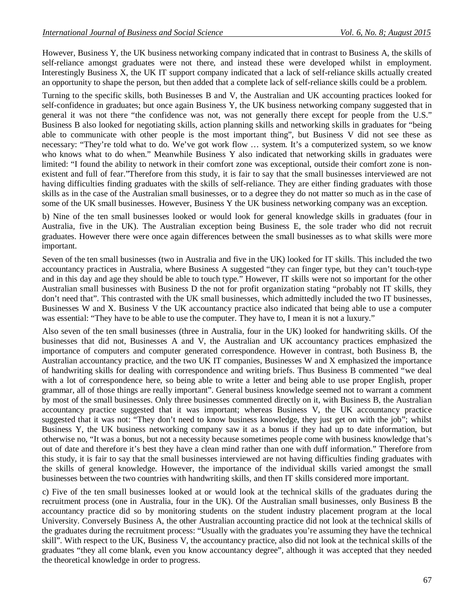However, Business Y, the UK business networking company indicated that in contrast to Business A, the skills of self-reliance amongst graduates were not there, and instead these were developed whilst in employment. Interestingly Business X, the UK IT support company indicated that a lack of self-reliance skills actually created an opportunity to shape the person, but then added that a complete lack of self-reliance skills could be a problem.

Turning to the specific skills, both Businesses B and V, the Australian and UK accounting practices looked for self-confidence in graduates; but once again Business Y, the UK business networking company suggested that in general it was not there "the confidence was not, was not generally there except for people from the U.S." Business B also looked for negotiating skills, action planning skills and networking skills in graduates for "being able to communicate with other people is the most important thing", but Business V did not see these as necessary: "They're told what to do. We've got work flow … system. It's a computerized system, so we know who knows what to do when." Meanwhile Business Y also indicated that networking skills in graduates were limited: "I found the ability to network in their comfort zone was exceptional, outside their comfort zone is nonexistent and full of fear."Therefore from this study, it is fair to say that the small businesses interviewed are not having difficulties finding graduates with the skills of self-reliance. They are either finding graduates with those skills as in the case of the Australian small businesses, or to a degree they do not matter so much as in the case of some of the UK small businesses. However, Business Y the UK business networking company was an exception.

b) Nine of the ten small businesses looked or would look for general knowledge skills in graduates (four in Australia, five in the UK). The Australian exception being Business E, the sole trader who did not recruit graduates. However there were once again differences between the small businesses as to what skills were more important.

Seven of the ten small businesses (two in Australia and five in the UK) looked for IT skills. This included the two accountancy practices in Australia, where Business A suggested "they can finger type, but they can't touch-type and in this day and age they should be able to touch type." However, IT skills were not so important for the other Australian small businesses with Business D the not for profit organization stating "probably not IT skills, they don't need that". This contrasted with the UK small businesses, which admittedly included the two IT businesses, Businesses W and X. Business V the UK accountancy practice also indicated that being able to use a computer was essential: "They have to be able to use the computer. They have to, I mean it is not a luxury."

Also seven of the ten small businesses (three in Australia, four in the UK) looked for handwriting skills. Of the businesses that did not, Businesses A and V, the Australian and UK accountancy practices emphasized the importance of computers and computer generated correspondence. However in contrast, both Business B, the Australian accountancy practice, and the two UK IT companies, Businesses W and X emphasized the importance of handwriting skills for dealing with correspondence and writing briefs. Thus Business B commented "we deal with a lot of correspondence here, so being able to write a letter and being able to use proper English, proper grammar, all of those things are really important". General business knowledge seemed not to warrant a comment by most of the small businesses. Only three businesses commented directly on it, with Business B, the Australian accountancy practice suggested that it was important; whereas Business V, the UK accountancy practice suggested that it was not: "They don't need to know business knowledge, they just get on with the job"; whilst Business Y, the UK business networking company saw it as a bonus if they had up to date information, but otherwise no, "It was a bonus, but not a necessity because sometimes people come with business knowledge that's out of date and therefore it's best they have a clean mind rather than one with duff information." Therefore from this study, it is fair to say that the small businesses interviewed are not having difficulties finding graduates with the skills of general knowledge. However, the importance of the individual skills varied amongst the small businesses between the two countries with handwriting skills, and then IT skills considered more important.

c) Five of the ten small businesses looked at or would look at the technical skills of the graduates during the recruitment process (one in Australia, four in the UK). Of the Australian small businesses, only Business B the accountancy practice did so by monitoring students on the student industry placement program at the local University. Conversely Business A, the other Australian accounting practice did not look at the technical skills of the graduates during the recruitment process: "Usually with the graduates you're assuming they have the technical skill". With respect to the UK, Business V, the accountancy practice, also did not look at the technical skills of the graduates "they all come blank, even you know accountancy degree", although it was accepted that they needed the theoretical knowledge in order to progress.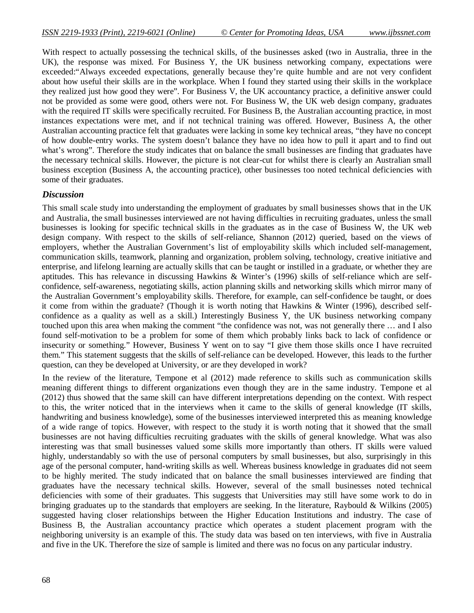With respect to actually possessing the technical skills, of the businesses asked (two in Australia, three in the UK), the response was mixed. For Business Y, the UK business networking company, expectations were exceeded:"Always exceeded expectations, generally because they're quite humble and are not very confident about how useful their skills are in the workplace. When I found they started using their skills in the workplace they realized just how good they were". For Business V, the UK accountancy practice, a definitive answer could not be provided as some were good, others were not. For Business W, the UK web design company, graduates with the required IT skills were specifically recruited. For Business B, the Australian accounting practice, in most instances expectations were met, and if not technical training was offered. However, Business A, the other Australian accounting practice felt that graduates were lacking in some key technical areas, "they have no concept of how double-entry works. The system doesn't balance they have no idea how to pull it apart and to find out what's wrong". Therefore the study indicates that on balance the small businesses are finding that graduates have the necessary technical skills. However, the picture is not clear-cut for whilst there is clearly an Australian small business exception (Business A, the accounting practice), other businesses too noted technical deficiencies with some of their graduates.

## *Discussion*

This small scale study into understanding the employment of graduates by small businesses shows that in the UK and Australia, the small businesses interviewed are not having difficulties in recruiting graduates, unless the small businesses is looking for specific technical skills in the graduates as in the case of Business W, the UK web design company. With respect to the skills of self-reliance, Shannon (2012) queried, based on the views of employers, whether the Australian Government's list of employability skills which included self-management, communication skills, teamwork, planning and organization, problem solving, technology, creative initiative and enterprise, and lifelong learning are actually skills that can be taught or instilled in a graduate, or whether they are aptitudes. This has relevance in discussing Hawkins & Winter's (1996) skills of self-reliance which are selfconfidence, self-awareness, negotiating skills, action planning skills and networking skills which mirror many of the Australian Government's employability skills. Therefore, for example, can self-confidence be taught, or does it come from within the graduate? (Though it is worth noting that Hawkins & Winter (1996), described selfconfidence as a quality as well as a skill.) Interestingly Business Y, the UK business networking company touched upon this area when making the comment "the confidence was not, was not generally there … and I also found self-motivation to be a problem for some of them which probably links back to lack of confidence or insecurity or something." However, Business Y went on to say "I give them those skills once I have recruited them." This statement suggests that the skills of self-reliance can be developed. However, this leads to the further question, can they be developed at University, or are they developed in work?

In the review of the literature, Tempone et al (2012) made reference to skills such as communication skills meaning different things to different organizations even though they are in the same industry. Tempone et al (2012) thus showed that the same skill can have different interpretations depending on the context. With respect to this, the writer noticed that in the interviews when it came to the skills of general knowledge (IT skills, handwriting and business knowledge), some of the businesses interviewed interpreted this as meaning knowledge of a wide range of topics. However, with respect to the study it is worth noting that it showed that the small businesses are not having difficulties recruiting graduates with the skills of general knowledge. What was also interesting was that small businesses valued some skills more importantly than others. IT skills were valued highly, understandably so with the use of personal computers by small businesses, but also, surprisingly in this age of the personal computer, hand-writing skills as well. Whereas business knowledge in graduates did not seem to be highly merited. The study indicated that on balance the small businesses interviewed are finding that graduates have the necessary technical skills. However, several of the small businesses noted technical deficiencies with some of their graduates. This suggests that Universities may still have some work to do in bringing graduates up to the standards that employers are seeking. In the literature, Raybould & Wilkins (2005) suggested having closer relationships between the Higher Education Institutions and industry. The case of Business B, the Australian accountancy practice which operates a student placement program with the neighboring university is an example of this. The study data was based on ten interviews, with five in Australia and five in the UK. Therefore the size of sample is limited and there was no focus on any particular industry.